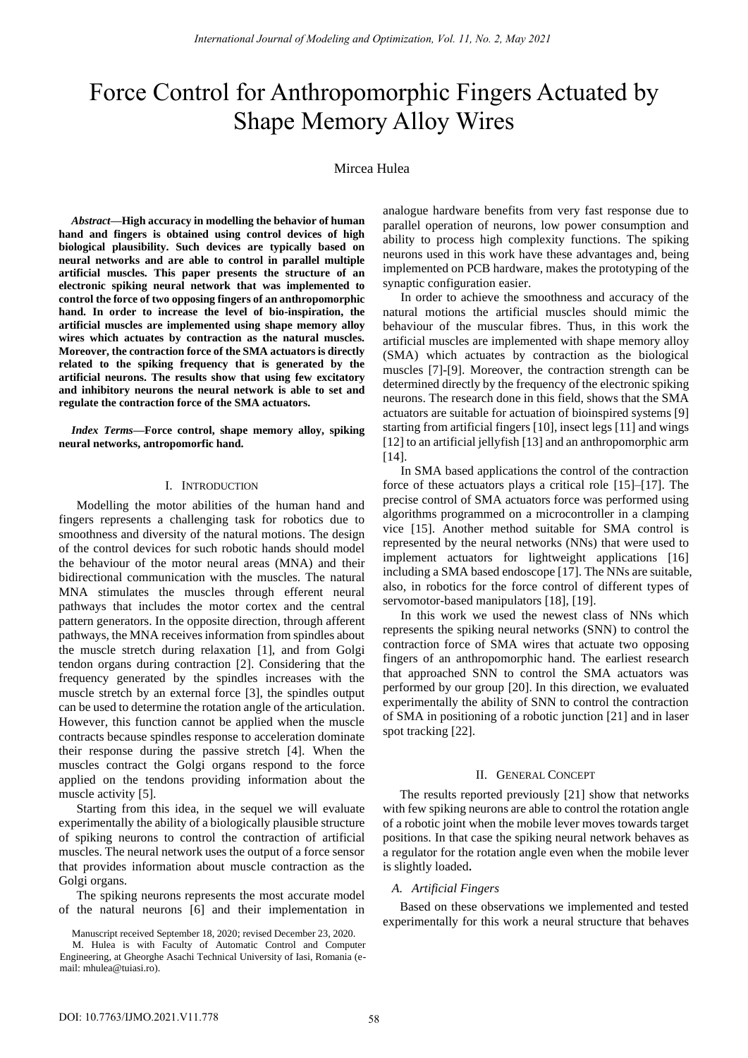# Force Control for Anthropomorphic Fingers Actuated by Shape Memory Alloy Wires

# Mircea Hulea<sup>1</sup>

*Abstract***—High accuracy in modelling the behavior of human hand and fingers is obtained using control devices of high biological plausibility. Such devices are typically based on neural networks and are able to control in parallel multiple artificial muscles. This paper presents the structure of an electronic spiking neural network that was implemented to control the force of two opposing fingers of an anthropomorphic hand. In order to increase the level of bio-inspiration, the artificial muscles are implemented using shape memory alloy wires which actuates by contraction as the natural muscles. Moreover, the contraction force of the SMA actuators is directly related to the spiking frequency that is generated by the artificial neurons. The results show that using few excitatory and inhibitory neurons the neural network is able to set and regulate the contraction force of the SMA actuators.** 

*Index Terms***—Force control, shape memory alloy, spiking neural networks, antropomorfic hand.**

## I. INTRODUCTION

Modelling the motor abilities of the human hand and fingers represents a challenging task for robotics due to smoothness and diversity of the natural motions. The design of the control devices for such robotic hands should model the behaviour of the motor neural areas (MNA) and their bidirectional communication with the muscles. The natural MNA stimulates the muscles through efferent neural pathways that includes the motor cortex and the central pattern generators. In the opposite direction, through afferent pathways, the MNA receives information from spindles about the muscle stretch during relaxation [1], and from Golgi tendon organs during contraction [2]. Considering that the frequency generated by the spindles increases with the muscle stretch by an external force [3], the spindles output can be used to determine the rotation angle of the articulation. However, this function cannot be applied when the muscle contracts because spindles response to acceleration dominate their response during the passive stretch [4]. When the muscles contract the Golgi organs respond to the force applied on the tendons providing information about the muscle activity [5].

Starting from this idea, in the sequel we will evaluate experimentally the ability of a biologically plausible structure of spiking neurons to control the contraction of artificial muscles. The neural network uses the output of a force sensor that provides information about muscle contraction as the Golgi organs.

gi organs.<br>The spiking neurons represents the most accurate model of the natural neurons [6] and their implementation in

analogue hardware benefits from very fast response due to parallel operation of neurons, low power consumption and ability to process high complexity functions. The spiking neurons used in this work have these advantages and, being implemented on PCB hardware, makes the prototyping of the synaptic configuration easier.

 In order to achieve the smoothness and accuracy of the natural motions the artificial muscles should mimic the behaviour of the muscular fibres. Thus, in this work the artificial muscles are implemented with shape memory alloy (SMA) which actuates by contraction as the biological muscles [7]-[9]. Moreover, the contraction strength can be determined directly by the frequency of the electronic spiking neurons. The research done in this field, shows that the SMA actuators are suitable for actuation of bioinspired systems [9] starting from artificial fingers [10], insect legs [11] and wings [12] to an artificial jellyfish [13] and an anthropomorphic arm [14].

 In SMA based applications the control of the contraction force of these actuators plays a critical role [15]–[17]. The precise control of SMA actuators force was performed using algorithms programmed on a microcontroller in a clamping vice [15]. Another method suitable for SMA control is represented by the neural networks (NNs) that were used to implement actuators for lightweight applications [16] including a SMA based endoscope [17]. The NNs are suitable, also, in robotics for the force control of different types of servomotor-based manipulators [18], [19].

 In this work we used the newest class of NNs which represents the spiking neural networks (SNN) to control the contraction force of SMA wires that actuate two opposing fingers of an anthropomorphic hand. The earliest research that approached SNN to control the SMA actuators was performed by our group [20]. In this direction, we evaluated experimentally the ability of SNN to control the contraction of SMA in positioning of a robotic junction [21] and in laser spot tracking [22].

## II. GENERAL CONCEPT

The results reported previously [21] show that networks with few spiking neurons are able to control the rotation angle of a robotic joint when the mobile lever moves towards target positions. In that case the spiking neural network behaves as a regulator for the rotation angle even when the mobile lever is slightly loaded**.** 

# *A. Artificial Fingers*

Based on these observations we implemented and tested experimentally for this work a neural structure that behaves

<sup>1</sup>Manuscript received September 18, 2020; revised December 23, 2020.

 Engineering, at Gheorghe Asachi Technical University of Iasi, Romania (e-M. Hulea is with Faculty of Automatic Control and Computer mail: mhulea@tuiasi.ro).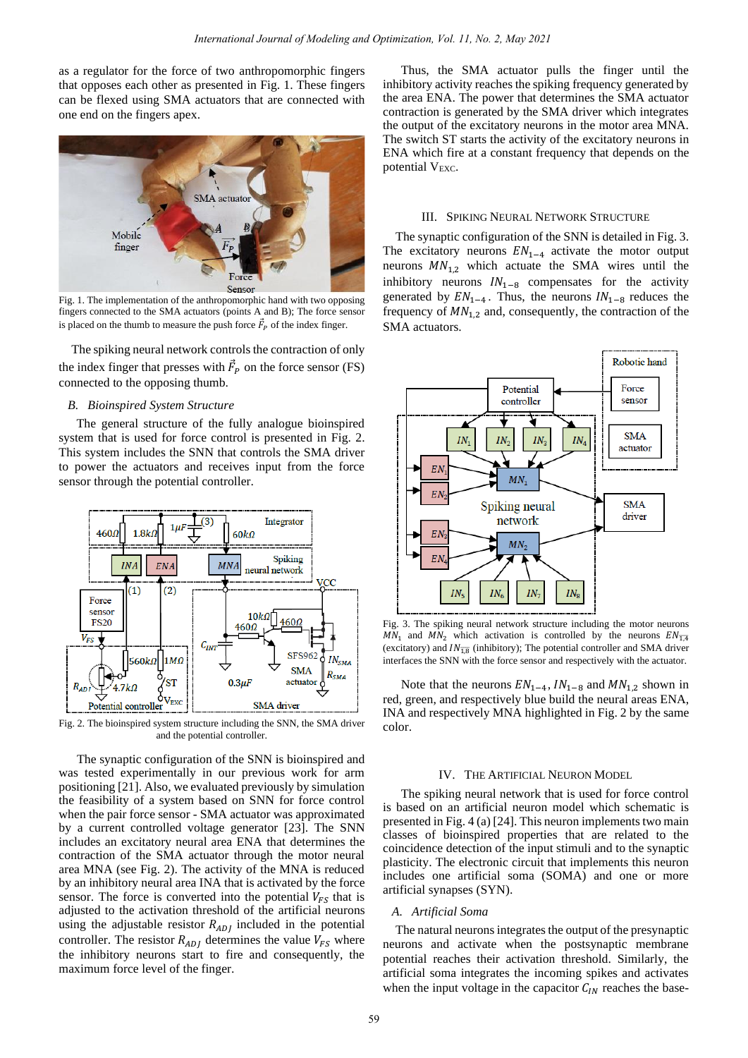as a regulator for the force of two anthropomorphic fingers that opposes each other as presented in Fig. 1. These fingers can be flexed using SMA actuators that are connected with one end on the fingers apex.



Fig. 1. The implementation of the anthropomorphic hand with two opposing fingers connected to the SMA actuators (points A and B); The force sensor is placed on the thumb to measure the push force  $\vec{F}_P$  of the index finger.

The spiking neural network controls the contraction of only the index finger that presses with  $\vec{F}_P$  on the force sensor (FS) connected to the opposing thumb.

## *B. Bioinspired System Structure*

The general structure of the fully analogue bioinspired system that is used for force control is presented in Fig. 2. This system includes the SNN that controls the SMA driver to power the actuators and receives input from the force sensor through the potential controller.



Fig. 2. The bioinspired system structure including the SNN, the SMA driver and the potential controller.

The synaptic configuration of the SNN is bioinspired and was tested experimentally in our previous work for arm positioning [21]. Also, we evaluated previously by simulation the feasibility of a system based on SNN for force control when the pair force sensor - SMA actuator was approximated by a current controlled voltage generator [23]. The SNN includes an excitatory neural area ENA that determines the contraction of the SMA actuator through the motor neural area MNA (see Fig. 2). The activity of the MNA is reduced by an inhibitory neural area INA that is activated by the force sensor. The force is converted into the potential  $V_{FS}$  that is adjusted to the activation threshold of the artificial neurons using the adjustable resistor  $R_{AD}$  included in the potential controller. The resistor  $R_{AD}$  determines the value  $V_{FS}$  where the inhibitory neurons start to fire and consequently, the maximum force level of the finger.

Thus, the SMA actuator pulls the finger until the inhibitory activity reaches the spiking frequency generated by the area ENA. The power that determines the SMA actuator contraction is generated by the SMA driver which integrates the output of the excitatory neurons in the motor area MNA. The switch ST starts the activity of the excitatory neurons in ENA which fire at a constant frequency that depends on the potential  $V_{\text{EXC}}$ .

#### III. SPIKING NEURAL NETWORK STRUCTURE

The synaptic configuration of the SNN is detailed in Fig. 3. The excitatory neurons  $EN_{1-4}$  activate the motor output neurons  $MN_{1,2}$  which actuate the SMA wires until the inhibitory neurons  $IN_{1-8}$  compensates for the activity generated by  $EN_{1-4}$ . Thus, the neurons  $IN_{1-8}$  reduces the frequency of  $MN_{1,2}$  and, consequently, the contraction of the SMA actuators.



Fig. 3. The spiking neural network structure including the motor neurons  $MN_1$  and  $MN_2$  which activation is controlled by the neurons  $EN_{\overline{1,4}}$ (excitatory) and  $IN_{\overline{18}}$  (inhibitory); The potential controller and SMA driver interfaces the SNN with the force sensor and respectively with the actuator.

Note that the neurons  $EN_{1-4}$ ,  $IN_{1-8}$  and  $MN_{1,2}$  shown in red, green, and respectively blue build the neural areas ENA, INA and respectively MNA highlighted in Fig. 2 by the same color.

## IV. THE ARTIFICIAL NEURON MODEL

The spiking neural network that is used for force control is based on an artificial neuron model which schematic is presented in Fig. 4 (a) [24]. This neuron implements two main classes of bioinspired properties that are related to the coincidence detection of the input stimuli and to the synaptic plasticity. The electronic circuit that implements this neuron includes one artificial soma (SOMA) and one or more artificial synapses (SYN).

## *A. Artificial Soma*

The natural neurons integrates the output of the presynaptic neurons and activate when the postsynaptic membrane potential reaches their activation threshold. Similarly, the artificial soma integrates the incoming spikes and activates when the input voltage in the capacitor  $C_{IN}$  reaches the base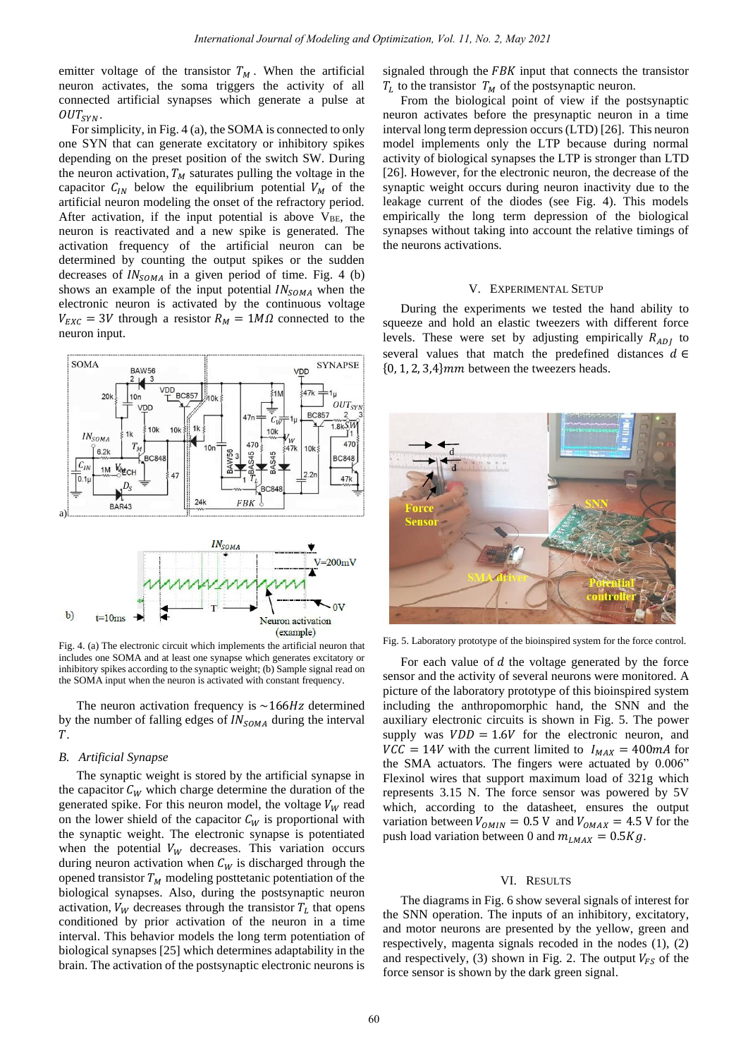emitter voltage of the transistor  $T_M$ . When the artificial neuron activates, the soma triggers the activity of all connected artificial synapses which generate a pulse at  $OUT_{SYN}$ .

For simplicity, in Fig. 4 (a), the SOMA is connected to only one SYN that can generate excitatory or inhibitory spikes depending on the preset position of the switch SW. During the neuron activation,  $T_M$  saturates pulling the voltage in the capacitor  $C_{IN}$  below the equilibrium potential  $V_M$  of the artificial neuron modeling the onset of the refractory period. After activation, if the input potential is above  $V_{BE}$ , the neuron is reactivated and a new spike is generated. The activation frequency of the artificial neuron can be determined by counting the output spikes or the sudden decreases of  $IN_{SOMA}$  in a given period of time. Fig. 4 (b) shows an example of the input potential  $IN_{SOMA}$  when the electronic neuron is activated by the continuous voltage  $V_{EXC} = 3V$  through a resistor  $R_M = 1M\Omega$  connected to the neuron input.



Fig. 4. (a) The electronic circuit which implements the artificial neuron that includes one SOMA and at least one synapse which generates excitatory or inhibitory spikes according to the synaptic weight; (b) Sample signal read on the SOMA input when the neuron is activated with constant frequency.

The neuron activation frequency is  $\sim$  166Hz determined by the number of falling edges of  $IN_{SOMA}$  during the interval .

#### *B. Artificial Synapse*

The synaptic weight is stored by the artificial synapse in the capacitor  $C_W$  which charge determine the duration of the generated spike. For this neuron model, the voltage  $V_W$  read on the lower shield of the capacitor  $C_W$  is proportional with the synaptic weight. The electronic synapse is potentiated when the potential  $V_W$  decreases. This variation occurs during neuron activation when  $C_W$  is discharged through the opened transistor  $T_M$  modeling posttetanic potentiation of the biological synapses. Also, during the postsynaptic neuron activation,  $V_W$  decreases through the transistor  $T_L$  that opens conditioned by prior activation of the neuron in a time interval. This behavior models the long term potentiation of biological synapses [25] which determines adaptability in the brain. The activation of the postsynaptic electronic neurons is

signaled through the  $FBK$  input that connects the transistor  $T_L$  to the transistor  $T_M$  of the postsynaptic neuron.

From the biological point of view if the postsynaptic neuron activates before the presynaptic neuron in a time interval long term depression occurs (LTD) [26]. This neuron model implements only the LTP because during normal activity of biological synapses the LTP is stronger than LTD [26]. However, for the electronic neuron, the decrease of the synaptic weight occurs during neuron inactivity due to the leakage current of the diodes (see Fig. 4). This models empirically the long term depression of the biological synapses without taking into account the relative timings of the neurons activations.

#### V. EXPERIMENTAL SETUP

During the experiments we tested the hand ability to squeeze and hold an elastic tweezers with different force levels. These were set by adjusting empirically  $R_{ADI}$  to several values that match the predefined distances  $d \in$  ${0, 1, 2, 3, 4}$  mm between the tweezers heads.



Fig. 5. Laboratory prototype of the bioinspired system for the force control.

For each value of  $d$  the voltage generated by the force sensor and the activity of several neurons were monitored. A picture of the laboratory prototype of this bioinspired system including the anthropomorphic hand, the SNN and the auxiliary electronic circuits is shown in Fig. 5. The power supply was  $VDD = 1.6V$  for the electronic neuron, and  $VCC = 14V$  with the current limited to  $I_{MAX} = 400mA$  for the SMA actuators. The fingers were actuated by 0.006" Flexinol wires that support maximum load of 321g which represents 3.15 N. The force sensor was powered by 5V which, according to the datasheet, ensures the output variation between  $V_{OMIN} = 0.5$  V and  $V_{OMAX} = 4.5$  V for the push load variation between 0 and  $m_{LMAX} = 0.5Kg$ .

#### VI. RESULTS

The diagrams in Fig. 6 show several signals of interest for the SNN operation. The inputs of an inhibitory, excitatory, and motor neurons are presented by the yellow, green and respectively, magenta signals recoded in the nodes (1), (2) and respectively, (3) shown in Fig. 2. The output  $V_{FS}$  of the force sensor is shown by the dark green signal.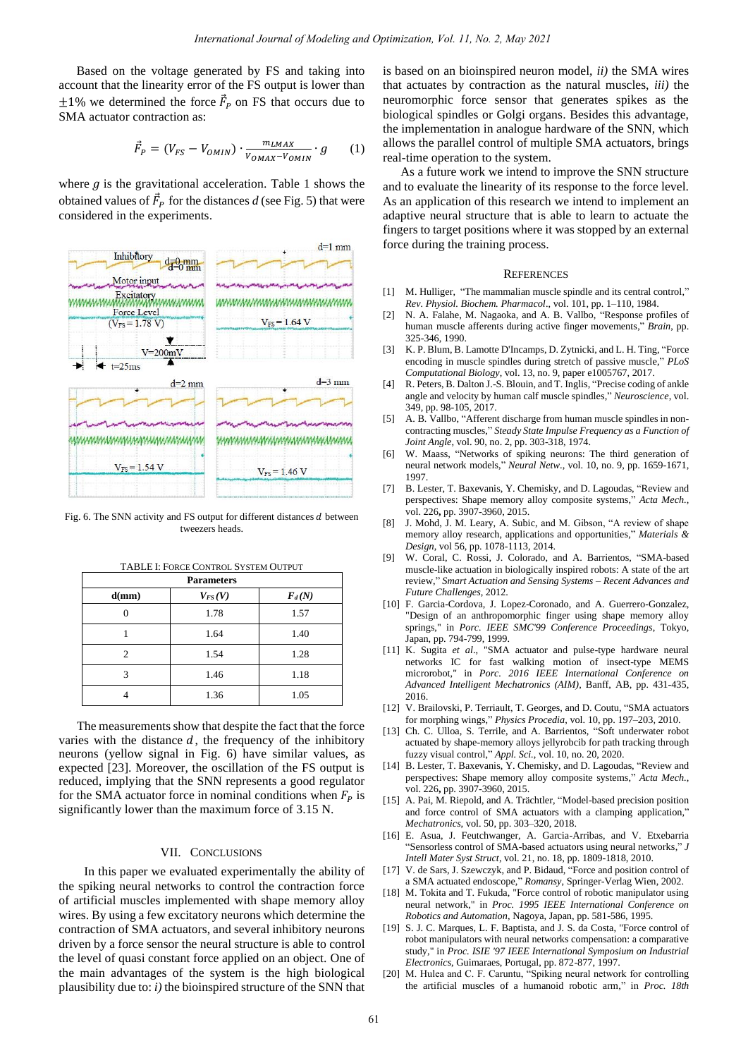Based on the voltage generated by FS and taking into account that the linearity error of the FS output is lower than  $\pm 1\%$  we determined the force  $\vec{F}_P$  on FS that occurs due to SMA actuator contraction as:

$$
\vec{F}_P = (V_{FS} - V_{OMIN}) \cdot \frac{m_{LMAX}}{V_{OMAX} - V_{OMIN}} \cdot g \qquad (1)
$$

where  $g$  is the gravitational acceleration. Table 1 shows the obtained values of  $\vec{F}_P$  for the distances *d* (see Fig. 5) that were considered in the experiments.



Fig. 6. The SNN activity and FS output for different distances  $d$  between tweezers heads.

| <b>Parameters</b> |             |          |
|-------------------|-------------|----------|
| d(mm)             | $V_{FS}(V)$ | $F_d(N)$ |
| 0                 | 1.78        | 1.57     |
|                   | 1.64        | 1.40     |
| 2                 | 1.54        | 1.28     |
| 3                 | 1.46        | 1.18     |
|                   | 1.36        | 1.05     |

TABLE I: FORCE CONTROL SYSTEM OUTPUT

The measurements show that despite the fact that the force varies with the distance  $d$ , the frequency of the inhibitory neurons (yellow signal in Fig. 6) have similar values, as expected [23]. Moreover, the oscillation of the FS output is reduced, implying that the SNN represents a good regulator for the SMA actuator force in nominal conditions when  $F_p$  is significantly lower than the maximum force of 3.15 N.

#### VII. CONCLUSIONS

In this paper we evaluated experimentally the ability of the spiking neural networks to control the contraction force of artificial muscles implemented with shape memory alloy wires. By using a few excitatory neurons which determine the contraction of SMA actuators, and several inhibitory neurons driven by a force sensor the neural structure is able to control the level of quasi constant force applied on an object. One of the main advantages of the system is the high biological plausibility due to: *i)* the bioinspired structure of the SNN that is based on an bioinspired neuron model, *ii)* the SMA wires that actuates by contraction as the natural muscles, *iii)* the neuromorphic force sensor that generates spikes as the biological spindles or Golgi organs. Besides this advantage, the implementation in analogue hardware of the SNN, which allows the parallel control of multiple SMA actuators, brings real-time operation to the system.

As a future work we intend to improve the SNN structure and to evaluate the linearity of its response to the force level. As an application of this research we intend to implement an adaptive neural structure that is able to learn to actuate the fingers to target positions where it was stopped by an external force during the training process.

### **REFERENCES**

- [1] M. Hulliger, "The mammalian muscle spindle and its central control," *Rev. Physiol. Biochem. Pharmacol*., vol. 101, pp. 1–110, 1984.
- [2] N. A. Falahe, M. Nagaoka, and A. B. Vallbo, "Response profiles of human muscle afferents during active finger movements," *Brain*, pp. 325-346, 1990.
- [3] K. P. Blum, B. Lamotte D'Incamps, D. Zytnicki, and L. H. Ting, "Force encoding in muscle spindles during stretch of passive muscle," *PLoS Computational Biology*, vol. 13, no. 9, paper e1005767, 2017.
- [4] R. Peters, B. Dalton J.-S. Blouin, and T. Inglis, "Precise coding of ankle angle and velocity by human calf muscle spindles," *Neuroscience*, vol. 349, pp. 98-105, 2017.
- A. B. Vallbo, "Afferent discharge from human muscle spindles in noncontracting muscles," *Steady State Impulse Frequency as a Function of Joint Angle*, vol. 90, no. 2, pp. 303-318, 1974.
- [6] W. Maass, "Networks of spiking neurons: The third generation of neural network models," *Neural Netw*., vol. 10, no. 9, pp. 1659-1671, 1997.
- [7] B. Lester, T. Baxevanis, Y. Chemisky, and D. Lagoudas, "Review and perspectives: Shape memory alloy composite systems," *Acta Mech.,* vol. 226**,** pp. 3907-3960, 2015.
- [8] J. Mohd, J. M. Leary, A. Subic, and M. Gibson, "A review of shape memory alloy research, applications and opportunities," *Materials & Design*, vol 56, pp. 1078-1113, 2014.
- [9] W. Coral, C. Rossi, J. Colorado, and A. Barrientos, "SMA-based muscle-like actuation in biologically inspired robots: A state of the art review," *Smart Actuation and Sensing Systems – Recent Advances and Future Challenges*, 2012.
- [10] F. Garcia-Cordova, J. Lopez-Coronado, and A. Guerrero-Gonzalez, "Design of an anthropomorphic finger using shape memory alloy springs," in *Porc. IEEE SMC'99 Conference Proceedings*, Tokyo, Japan, pp. 794-799, 1999.
- [11] K. Sugita *et al*., "SMA actuator and pulse-type hardware neural networks IC for fast walking motion of insect-type MEMS microrobot," in *Porc. 2016 IEEE International Conference on Advanced Intelligent Mechatronics (AIM)*, Banff, AB, pp. 431-435, 2016.
- [12] V. Brailovski, P. Terriault, T. Georges, and D. Coutu, "SMA actuators for morphing wings," *Physics Procedia*, vol. 10, pp. 197–203, 2010.
- [13] Ch. C. Ulloa, S. Terrile, and A. Barrientos, "Soft underwater robot actuated by shape-memory alloys jellyrobcib for path tracking through fuzzy visual control," *Appl. Sci.*, vol. 10, no. 20, 2020.
- [14] B. Lester, T. Baxevanis, Y. Chemisky, and D. Lagoudas, "Review and perspectives: Shape memory alloy composite systems," *Acta Mech.,* vol. 226**,** pp. 3907-3960, 2015.
- [15] A. Pai, M. Riepold, and A. Trächtler, "Model-based precision position and force control of SMA actuators with a clamping application," *Mechatronics,* vol. 50, pp. 303–320, 2018.
- [16] E. Asua, J. Feutchwanger, A. Garcia-Arribas, and V. Etxebarria "Sensorless control of SMA-based actuators using neural networks," *J Intell Mater Syst Struct*, vol. 21, no. 18, pp. 1809-1818, 2010.
- [17] V. de Sars, J. Szewczyk, and P. Bidaud, "Force and position control of a SMA actuated endoscope," *Romansy*, Springer-Verlag Wien, 2002.
- [18] M. Tokita and T. Fukuda, "Force control of robotic manipulator using neural network," in *Proc. 1995 IEEE International Conference on Robotics and Automation*, Nagoya, Japan, pp. 581-586, 1995.
- [19] S. J. C. Marques, L. F. Baptista, and J. S. da Costa, "Force control of robot manipulators with neural networks compensation: a comparative study," in *Proc. ISIE '97 IEEE International Symposium on Industrial Electronics*, Guimaraes, Portugal, pp. 872-877, 1997.
- [20] M. Hulea and C. F. Caruntu, "Spiking neural network for controlling the artificial muscles of a humanoid robotic arm," in *Proc. 18th*